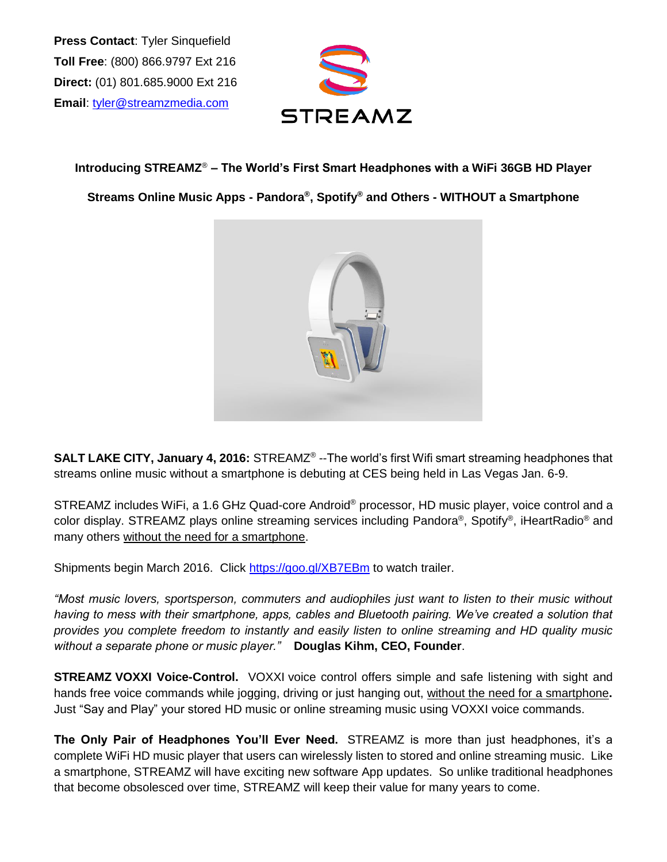**Press Contact**: Tyler Sinquefield **Toll Free**: (800) 866.9797 Ext 216 **Direct:** (01) 801.685.9000 Ext 216 **Email**: [tyler@streamzmedia.com](mailto:tyler@streamzmedia.com)



**Introducing STREAMZ**® **– The World's First Smart Headphones with a WiFi 36GB HD Player**

**Streams Online Music Apps - Pandora® , Spotify® and Others - WITHOUT a Smartphone**



**SALT LAKE CITY, January 4, 2016:** STREAMZ® --The world's first Wifi smart streaming headphones that streams online music without a smartphone is debuting at CES being held in Las Vegas Jan. 6-9.

STREAMZ includes WiFi, a 1.6 GHz Quad-core Android® processor, HD music player, voice control and a color display. STREAMZ plays online streaming services including Pandora®, Spotify®, iHeartRadio® and many others without the need for a smartphone.

Shipments begin March 2016. Click <https://goo.gl/XB7EBm> to watch trailer.

*"Most music lovers, sportsperson, commuters and audiophiles just want to listen to their music without having to mess with their smartphone, apps, cables and Bluetooth pairing. We've created a solution that provides you complete freedom to instantly and easily listen to online streaming and HD quality music without a separate phone or music player."* **Douglas Kihm, CEO, Founder**.

**STREAMZ VOXXI Voice-Control.** VOXXI voice control offers simple and safe listening with sight and hands free voice commands while jogging, driving or just hanging out, without the need for a smartphone**.** Just "Say and Play" your stored HD music or online streaming music using VOXXI voice commands.

**The Only Pair of Headphones You'll Ever Need.** STREAMZ is more than just headphones, it's a complete WiFi HD music player that users can wirelessly listen to stored and online streaming music. Like a smartphone, STREAMZ will have exciting new software App updates. So unlike traditional headphones that become obsolesced over time, STREAMZ will keep their value for many years to come.